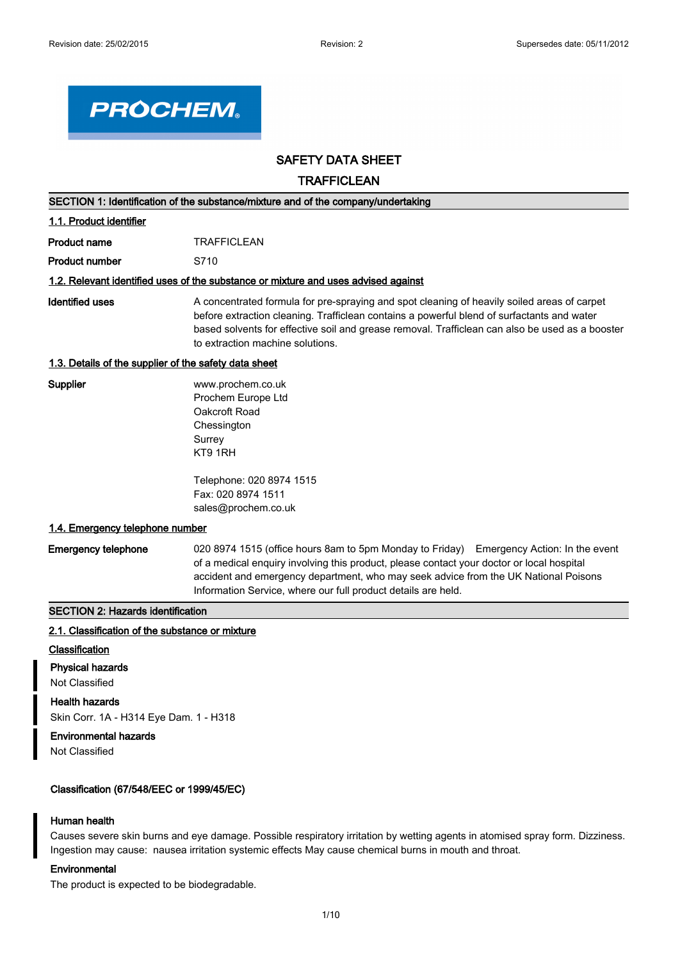

## **SAFETY DATA SHEET**

## **TRAFFICLEAN**

| SECTION 1: Identification of the substance/mixture and of the company/undertaking  |                                                                                                                                                                                                                                                                                                                                              |  |  |
|------------------------------------------------------------------------------------|----------------------------------------------------------------------------------------------------------------------------------------------------------------------------------------------------------------------------------------------------------------------------------------------------------------------------------------------|--|--|
| 1.1. Product identifier                                                            |                                                                                                                                                                                                                                                                                                                                              |  |  |
| <b>Product name</b>                                                                | <b>TRAFFICLEAN</b>                                                                                                                                                                                                                                                                                                                           |  |  |
| <b>Product number</b>                                                              | S710                                                                                                                                                                                                                                                                                                                                         |  |  |
| 1.2. Relevant identified uses of the substance or mixture and uses advised against |                                                                                                                                                                                                                                                                                                                                              |  |  |
| <b>Identified uses</b>                                                             | A concentrated formula for pre-spraying and spot cleaning of heavily soiled areas of carpet<br>before extraction cleaning. Trafficlean contains a powerful blend of surfactants and water<br>based solvents for effective soil and grease removal. Trafficlean can also be used as a booster<br>to extraction machine solutions.             |  |  |
| 1.3. Details of the supplier of the safety data sheet                              |                                                                                                                                                                                                                                                                                                                                              |  |  |
| <b>Supplier</b>                                                                    | www.prochem.co.uk<br>Prochem Europe Ltd<br>Oakcroft Road<br>Chessington<br>Surrey<br>KT9 1RH<br>Telephone: 020 8974 1515<br>Fax: 020 8974 1511                                                                                                                                                                                               |  |  |
| 1.4. Emergency telephone number                                                    | sales@prochem.co.uk                                                                                                                                                                                                                                                                                                                          |  |  |
|                                                                                    |                                                                                                                                                                                                                                                                                                                                              |  |  |
| <b>Emergency telephone</b>                                                         | 020 8974 1515 (office hours 8am to 5pm Monday to Friday) Emergency Action: In the event<br>of a medical enquiry involving this product, please contact your doctor or local hospital<br>accident and emergency department, who may seek advice from the UK National Poisons<br>Information Service, where our full product details are held. |  |  |
| <b>SECTION 2: Hazards identification</b>                                           |                                                                                                                                                                                                                                                                                                                                              |  |  |

#### **2.1. Classification of the substance or mixture**

## **Classification**

**Physical hazards**

Not Classified

## **Health hazards**

Skin Corr. 1A - H314 Eye Dam. 1 - H318

## **Environmental hazards**

Not Classified

## **Classification (67/548/EEC or 1999/45/EC)**

#### **Human health**

Causes severe skin burns and eye damage. Possible respiratory irritation by wetting agents in atomised spray form. Dizziness. Ingestion may cause: nausea irritation systemic effects May cause chemical burns in mouth and throat.

## **Environmental**

The product is expected to be biodegradable.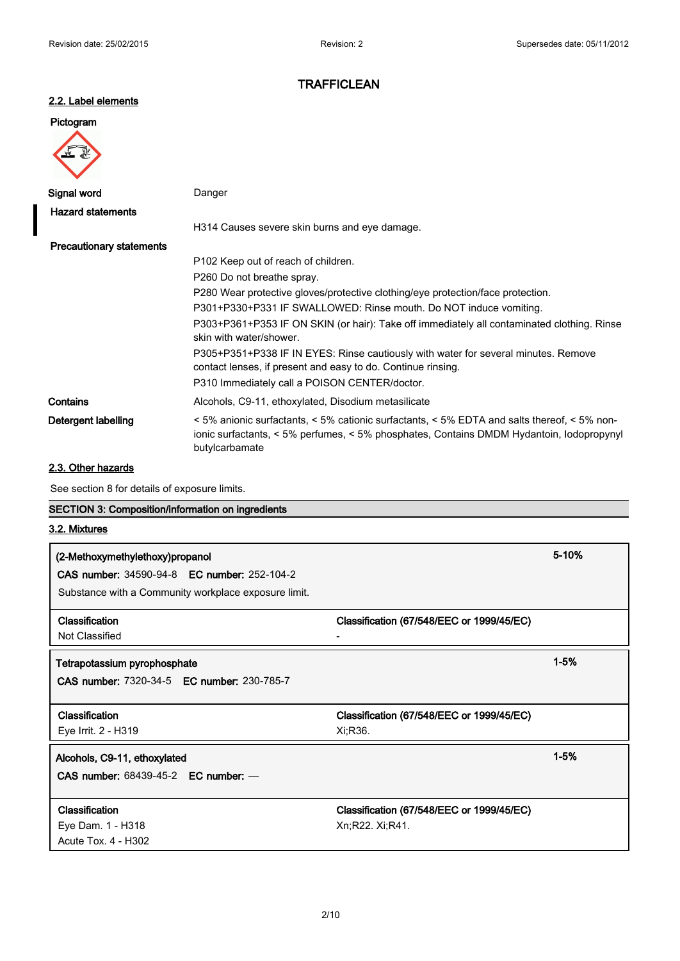## **2.2. Label elements**

# **Pictogram**

| Signal word                     | Danger                                                                                                                                                                                                |
|---------------------------------|-------------------------------------------------------------------------------------------------------------------------------------------------------------------------------------------------------|
| <b>Hazard statements</b>        |                                                                                                                                                                                                       |
|                                 | H314 Causes severe skin burns and eye damage.                                                                                                                                                         |
| <b>Precautionary statements</b> |                                                                                                                                                                                                       |
|                                 | P102 Keep out of reach of children.                                                                                                                                                                   |
|                                 | P260 Do not breathe spray.                                                                                                                                                                            |
|                                 | P280 Wear protective gloves/protective clothing/eye protection/face protection.                                                                                                                       |
|                                 | P301+P330+P331 IF SWALLOWED: Rinse mouth. Do NOT induce vomiting.                                                                                                                                     |
|                                 | P303+P361+P353 IF ON SKIN (or hair): Take off immediately all contaminated clothing. Rinse<br>skin with water/shower.                                                                                 |
|                                 | P305+P351+P338 IF IN EYES: Rinse cautiously with water for several minutes. Remove<br>contact lenses, if present and easy to do. Continue rinsing.                                                    |
|                                 | P310 Immediately call a POISON CENTER/doctor.                                                                                                                                                         |
| Contains                        | Alcohols, C9-11, ethoxylated, Disodium metasilicate                                                                                                                                                   |
| Detergent labelling             | <5% anionic surfactants, <5% cationic surfactants, <5% EDTA and salts thereof, <5% non-<br>ionic surfactants, < 5% perfumes, < 5% phosphates, Contains DMDM Hydantoin, Iodopropynyl<br>butylcarbamate |

## **2.3. Other hazards**

See section 8 for details of exposure limits.

# **SECTION 3: Composition/information on ingredients**

## **3.2. Mixtures**

| (2-Methoxymethylethoxy)propanol<br><b>CAS number: 34590-94-8 EC number: 252-104-2</b><br>Substance with a Community workplace exposure limit. |                                                              | 5-10%    |
|-----------------------------------------------------------------------------------------------------------------------------------------------|--------------------------------------------------------------|----------|
| <b>Classification</b><br>Not Classified                                                                                                       | Classification (67/548/EEC or 1999/45/EC)                    |          |
| Tetrapotassium pyrophosphate<br><b>CAS number: 7320-34-5 EC number: 230-785-7</b>                                                             |                                                              | $1 - 5%$ |
| <b>Classification</b><br>Eye Irrit. 2 - H319                                                                                                  | Classification (67/548/EEC or 1999/45/EC)<br>Xi:R36.         |          |
| Alcohols, C9-11, ethoxylated<br>CAS number: $68439-45-2$ EC number: $-$                                                                       |                                                              | $1 - 5%$ |
| <b>Classification</b><br>Eye Dam. 1 - H318<br>Acute Tox. 4 - H302                                                                             | Classification (67/548/EEC or 1999/45/EC)<br>Xn;R22. Xi;R41. |          |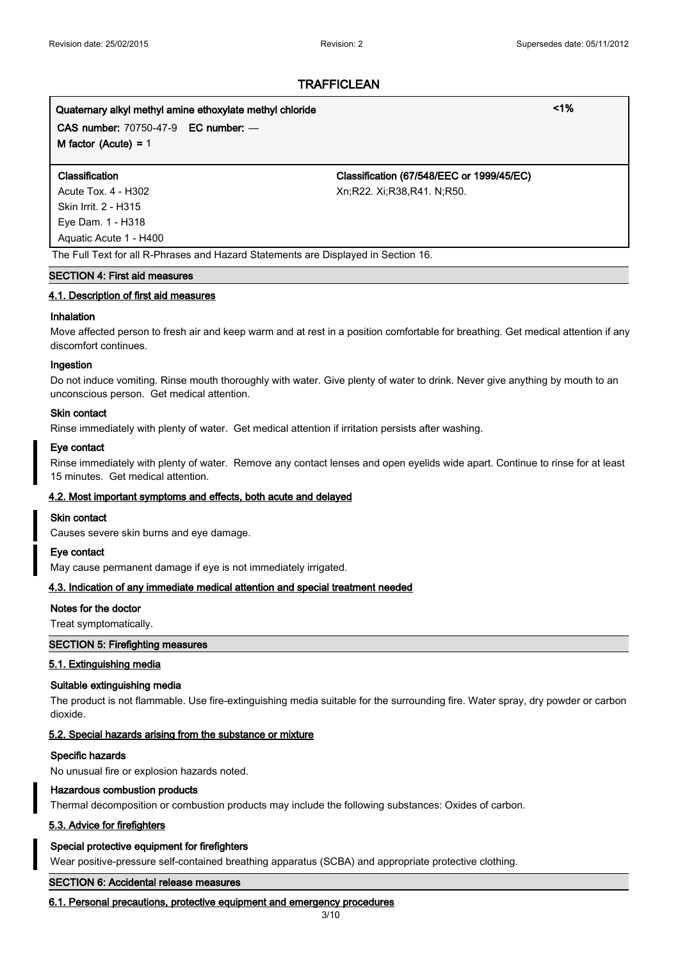# **Quaternary alkyl methyl amine ethoxylate methyl chloride <1%**

**CAS number:** 70750-47-9 **EC number:** — **M factor (Acute) =** 1

Skin Irrit. 2 - H315 Eye Dam. 1 - H318 Aquatic Acute 1 - H400

**Classification Classification (67/548/EEC or 1999/45/EC)** Acute Tox. 4 - H302 <br>
Xn;R22. Xi;R38,R41. N;R50.

The Full Text for all R-Phrases and Hazard Statements are Displayed in Section 16.

#### **SECTION 4: First aid measures**

#### **4.1. Description of first aid measures**

#### **Inhalation**

Move affected person to fresh air and keep warm and at rest in a position comfortable for breathing. Get medical attention if any discomfort continues.

#### **Ingestion**

Do not induce vomiting. Rinse mouth thoroughly with water. Give plenty of water to drink. Never give anything by mouth to an unconscious person. Get medical attention.

#### **Skin contact**

Rinse immediately with plenty of water. Get medical attention if irritation persists after washing.

#### **Eye contact**

Rinse immediately with plenty of water. Remove any contact lenses and open eyelids wide apart. Continue to rinse for at least 15 minutes. Get medical attention.

#### **4.2. Most important symptoms and effects, both acute and delayed**

#### **Skin contact**

Causes severe skin burns and eye damage.

#### **Eye contact**

May cause permanent damage if eye is not immediately irrigated.

#### **4.3. Indication of any immediate medical attention and special treatment needed**

#### **Notes for the doctor**

Treat symptomatically.

#### **SECTION 5: Firefighting measures**

#### **5.1. Extinguishing media**

#### **Suitable extinguishing media**

The product is not flammable. Use fire-extinguishing media suitable for the surrounding fire. Water spray, dry powder or carbon dioxide.

#### **5.2. Special hazards arising from the substance or mixture**

#### **Specific hazards**

No unusual fire or explosion hazards noted.

#### **Hazardous combustion products**

Thermal decomposition or combustion products may include the following substances: Oxides of carbon.

#### **5.3. Advice for firefighters**

#### **Special protective equipment for firefighters**

Wear positive-pressure self-contained breathing apparatus (SCBA) and appropriate protective clothing.

#### **SECTION 6: Accidental release measures**

#### **6.1. Personal precautions, protective equipment and emergency procedures**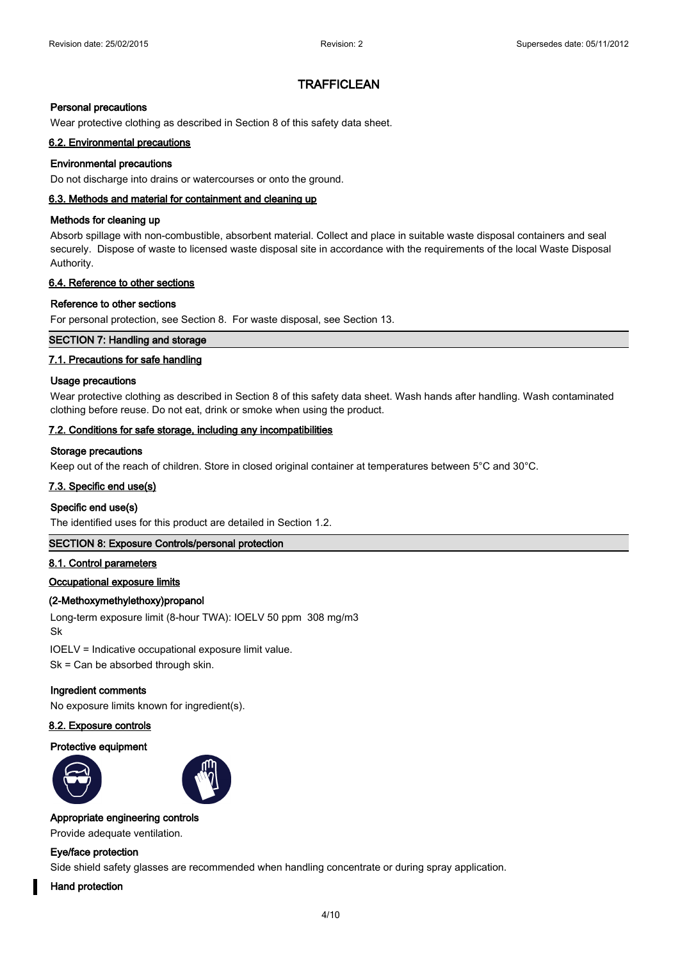#### **Personal precautions**

Wear protective clothing as described in Section 8 of this safety data sheet.

#### **6.2. Environmental precautions**

#### **Environmental precautions**

Do not discharge into drains or watercourses or onto the ground.

#### **6.3. Methods and material for containment and cleaning up**

#### **Methods for cleaning up**

Absorb spillage with non-combustible, absorbent material. Collect and place in suitable waste disposal containers and seal securely. Dispose of waste to licensed waste disposal site in accordance with the requirements of the local Waste Disposal Authority.

#### **6.4. Reference to other sections**

#### **Reference to other sections**

For personal protection, see Section 8. For waste disposal, see Section 13.

#### **SECTION 7: Handling and storage**

#### **7.1. Precautions for safe handling**

#### **Usage precautions**

Wear protective clothing as described in Section 8 of this safety data sheet. Wash hands after handling. Wash contaminated clothing before reuse. Do not eat, drink or smoke when using the product.

#### **7.2. Conditions for safe storage, including any incompatibilities**

#### **Storage precautions**

Keep out of the reach of children. Store in closed original container at temperatures between 5°C and 30°C.

#### **7.3. Specific end use(s)**

#### **Specific end use(s)**

The identified uses for this product are detailed in Section 1.2.

## **SECTION 8: Exposure Controls/personal protection**

#### **8.1. Control parameters**

#### **Occupational exposure limits**

#### **(2-Methoxymethylethoxy)propanol**

Long-term exposure limit (8-hour TWA): IOELV 50 ppm 308 mg/m3 Sk

IOELV = Indicative occupational exposure limit value.

Sk = Can be absorbed through skin.

#### **Ingredient comments**

No exposure limits known for ingredient(s).

#### **8.2. Exposure controls**

#### **Protective equipment**





#### **Appropriate engineering controls**

Provide adequate ventilation.

#### **Eye/face protection**

Side shield safety glasses are recommended when handling concentrate or during spray application.

#### **Hand protection**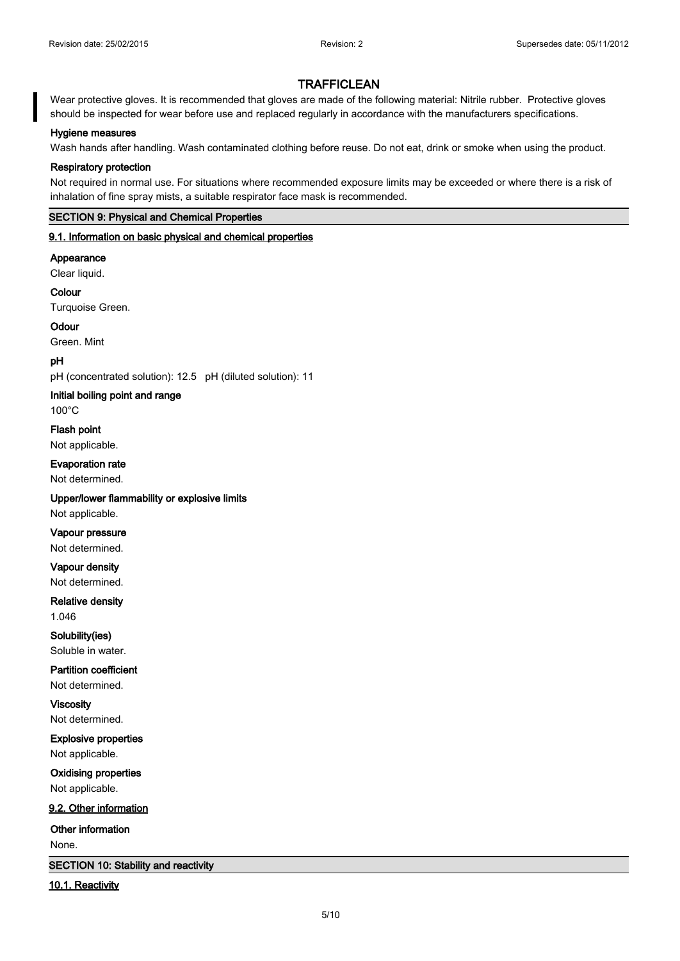Wear protective gloves. It is recommended that gloves are made of the following material: Nitrile rubber. Protective gloves should be inspected for wear before use and replaced regularly in accordance with the manufacturers specifications.

#### **Hygiene measures**

Wash hands after handling. Wash contaminated clothing before reuse. Do not eat, drink or smoke when using the product.

#### **Respiratory protection**

Not required in normal use. For situations where recommended exposure limits may be exceeded or where there is a risk of inhalation of fine spray mists, a suitable respirator face mask is recommended.

#### **SECTION 9: Physical and Chemical Properties**

#### **9.1. Information on basic physical and chemical properties**

**Appearance**

Clear liquid.

**Colour** Turquoise Green.

**Odour**

Green. Mint

#### **pH**

pH (concentrated solution): 12.5 pH (diluted solution): 11

**Initial boiling point and range**

100°C

**Flash point** Not applicable.

**Evaporation rate** Not determined.

**Upper/lower flammability or explosive limits** Not applicable.

**Vapour pressure** Not determined.

**Vapour density** Not determined.

**Relative density** 1.046

**Solubility(ies)** Soluble in water.

**Partition coefficient** Not determined.

**Viscosity** Not determined.

**Explosive properties** Not applicable.

**Oxidising properties** Not applicable.

**9.2. Other information**

**Other information**

None.

**SECTION 10: Stability and reactivity**

**10.1. Reactivity**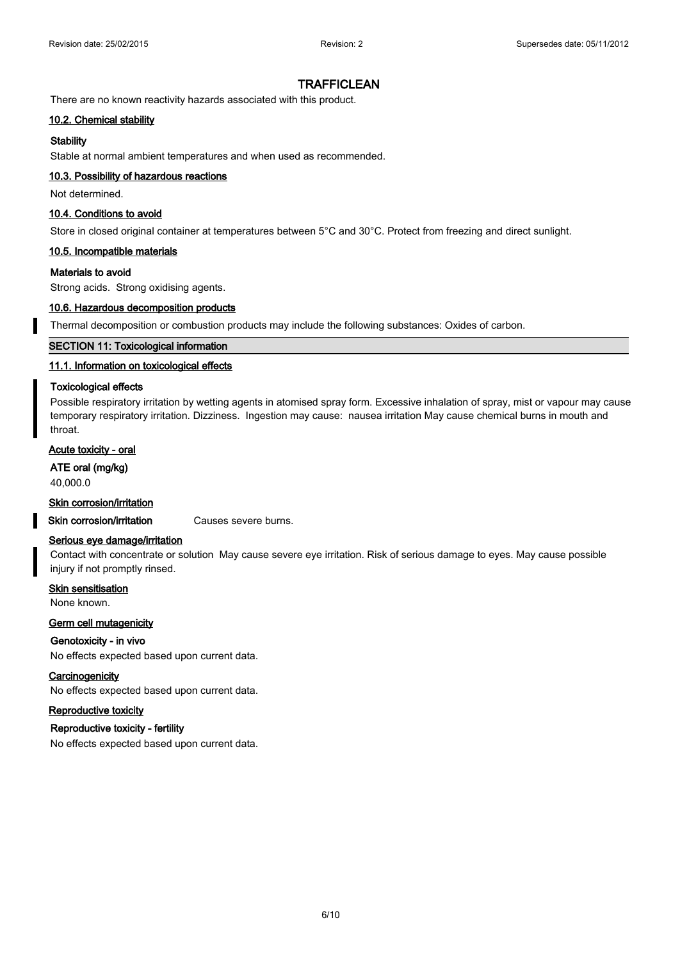There are no known reactivity hazards associated with this product.

#### **10.2. Chemical stability**

#### **Stability**

Stable at normal ambient temperatures and when used as recommended.

#### **10.3. Possibility of hazardous reactions**

Not determined.

#### **10.4. Conditions to avoid**

Store in closed original container at temperatures between 5°C and 30°C. Protect from freezing and direct sunlight.

#### **10.5. Incompatible materials**

#### **Materials to avoid**

Strong acids. Strong oxidising agents.

#### **10.6. Hazardous decomposition products**

Thermal decomposition or combustion products may include the following substances: Oxides of carbon.

#### **SECTION 11: Toxicological information**

#### **11.1. Information on toxicological effects**

#### **Toxicological effects**

Possible respiratory irritation by wetting agents in atomised spray form. Excessive inhalation of spray, mist or vapour may cause temporary respiratory irritation. Dizziness. Ingestion may cause: nausea irritation May cause chemical burns in mouth and throat.

## **Acute toxicity - oral**

**ATE oral (mg/kg)**

40,000.0

#### **Skin corrosion/irritation**

**Skin corrosion/irritation** Causes severe burns.

#### **Serious eye damage/irritation**

Contact with concentrate or solution May cause severe eye irritation. Risk of serious damage to eyes. May cause possible injury if not promptly rinsed.

**Skin sensitisation** None known.

## **Germ cell mutagenicity**

#### **Genotoxicity - in vivo**

No effects expected based upon current data.

#### **Carcinogenicity**

No effects expected based upon current data.

#### **Reproductive toxicity**

#### **Reproductive toxicity - fertility**

No effects expected based upon current data.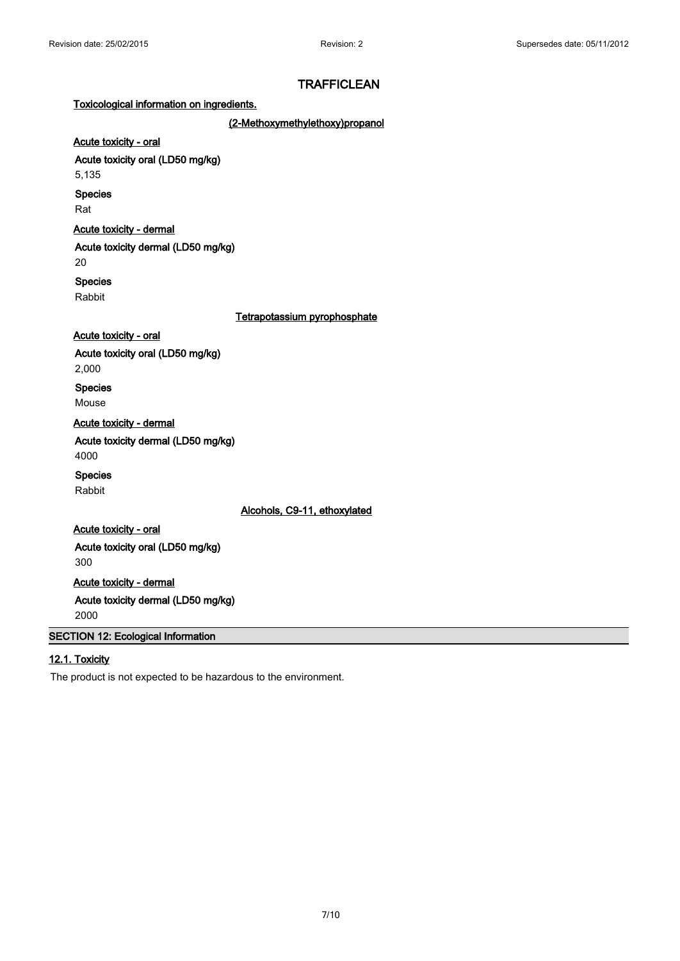#### **Toxicological information on ingredients.**

**(2-Methoxymethylethoxy)propanol**

## **Acute toxicity - oral**

**Acute toxicity oral (LD50 mg/kg)**

5,135

#### **Species**

Rat

## **Acute toxicity - dermal**

**Acute toxicity dermal (LD50 mg/kg)**

20

## **Species**

Rabbit

#### **Tetrapotassium pyrophosphate**

#### **Acute toxicity - oral**

**Acute toxicity oral (LD50 mg/kg)**

2,000

**Species**

Mouse

**Acute toxicity - dermal**

**Acute toxicity dermal (LD50 mg/kg)**

4000

## **Species**

Rabbit

**Alcohols, C9-11, ethoxylated**

## **Acute toxicity - oral Acute toxicity oral (LD50 mg/kg)** 300

**Acute toxicity - dermal Acute toxicity dermal (LD50 mg/kg)** 2000

## **SECTION 12: Ecological Information**

## **12.1. Toxicity**

The product is not expected to be hazardous to the environment.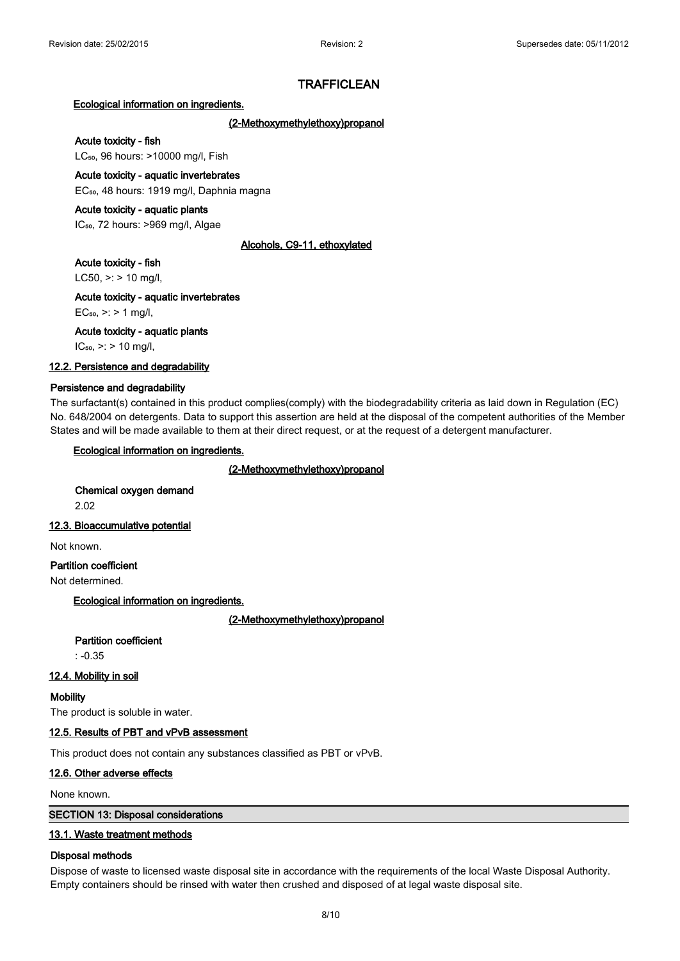#### **Ecological information on ingredients.**

#### **(2-Methoxymethylethoxy)propanol**

#### **Acute toxicity - fish**

LC<sub>50</sub>, 96 hours: >10000 mg/l, Fish

## **Acute toxicity - aquatic invertebrates**

EC<sub>50</sub>, 48 hours: 1919 mg/l, Daphnia magna

#### **Acute toxicity - aquatic plants**

IC<sub>50</sub>, 72 hours: >969 mg/l, Algae

#### **Alcohols, C9-11, ethoxylated**

#### **Acute toxicity - fish**

LC50,  $>$ : > 10 mg/l,

#### **Acute toxicity - aquatic invertebrates**

 $EC_{50}$ , >: > 1 mg/l,

#### **Acute toxicity - aquatic plants**

 $IC_{50}$ , >: > 10 mg/l,

## **12.2. Persistence and degradability**

#### **Persistence and degradability**

The surfactant(s) contained in this product complies(comply) with the biodegradability criteria as laid down in Regulation (EC) No. 648/2004 on detergents. Data to support this assertion are held at the disposal of the competent authorities of the Member States and will be made available to them at their direct request, or at the request of a detergent manufacturer.

#### **Ecological information on ingredients.**

#### **(2-Methoxymethylethoxy)propanol**

**Chemical oxygen demand** 2.02

#### **12.3. Bioaccumulative potential**

Not known.

## **Partition coefficient**

Not determined.

#### **Ecological information on ingredients.**

**(2-Methoxymethylethoxy)propanol**

# **Partition coefficient**

: -0.35

## **12.4. Mobility in soil**

#### **Mobility**

The product is soluble in water.

#### **12.5. Results of PBT and vPvB assessment**

This product does not contain any substances classified as PBT or vPvB.

#### **12.6. Other adverse effects**

None known.

#### **SECTION 13: Disposal considerations**

#### **13.1. Waste treatment methods**

#### **Disposal methods**

Dispose of waste to licensed waste disposal site in accordance with the requirements of the local Waste Disposal Authority. Empty containers should be rinsed with water then crushed and disposed of at legal waste disposal site.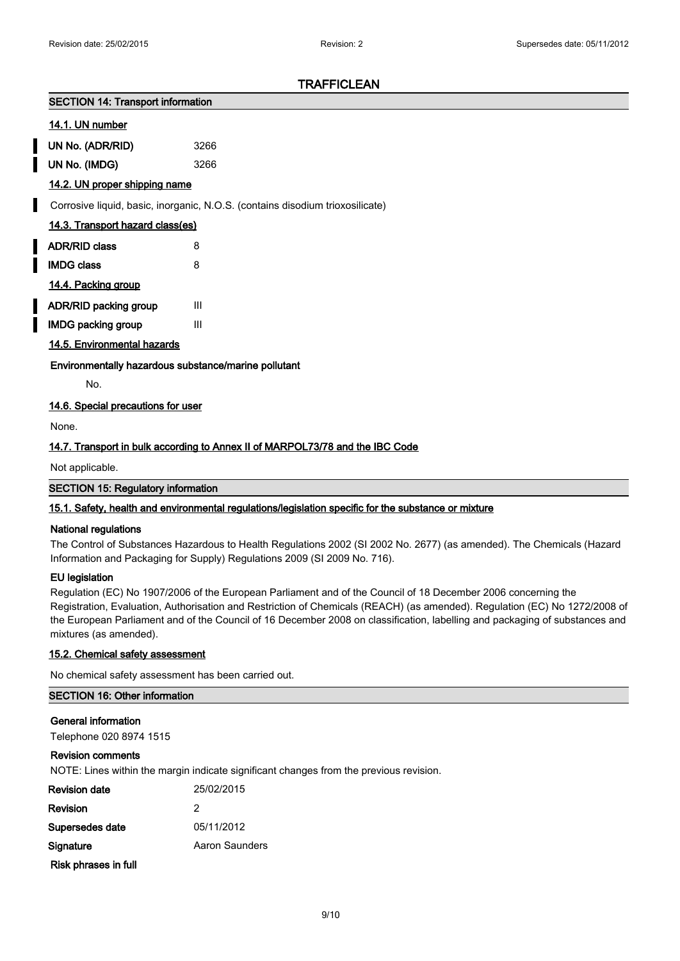#### **SECTION 14: Transport information**

#### **14.1. UN number**

| UN No. (ADR/RID) | 3266 |
|------------------|------|

**UN No. (IMDG)** 3266

#### **14.2. UN proper shipping name**

Corrosive liquid, basic, inorganic, N.O.S. (contains disodium trioxosilicate)

#### **14.3. Transport hazard class(es)**

| <b>ADR/RID class</b> | 8 |
|----------------------|---|
| <b>IMDG class</b>    | 8 |
| 14.4. Packing group  |   |

- **ADR/RID packing group** III
- **IMDG packing group III**

#### **14.5. Environmental hazards**

**Environmentally hazardous substance/marine pollutant**

No.

#### **14.6. Special precautions for user**

None.

#### **14.7. Transport in bulk according to Annex II of MARPOL73/78 and the IBC Code**

Not applicable.

**SECTION 15: Regulatory information**

#### **15.1. Safety, health and environmental regulations/legislation specific for the substance or mixture**

#### **National regulations**

The Control of Substances Hazardous to Health Regulations 2002 (SI 2002 No. 2677) (as amended). The Chemicals (Hazard Information and Packaging for Supply) Regulations 2009 (SI 2009 No. 716).

#### **EU legislation**

Regulation (EC) No 1907/2006 of the European Parliament and of the Council of 18 December 2006 concerning the Registration, Evaluation, Authorisation and Restriction of Chemicals (REACH) (as amended). Regulation (EC) No 1272/2008 of the European Parliament and of the Council of 16 December 2008 on classification, labelling and packaging of substances and mixtures (as amended).

#### **15.2. Chemical safety assessment**

No chemical safety assessment has been carried out.

## **SECTION 16: Other information**

**General information**

Telephone 020 8974 1515

#### **Revision comments**

NOTE: Lines within the margin indicate significant changes from the previous revision.

| Revision date        | 25/02/2015     |
|----------------------|----------------|
| Revision             | 2              |
| Supersedes date      | 05/11/2012     |
| Signature            | Aaron Saunders |
| Risk phrases in full |                |